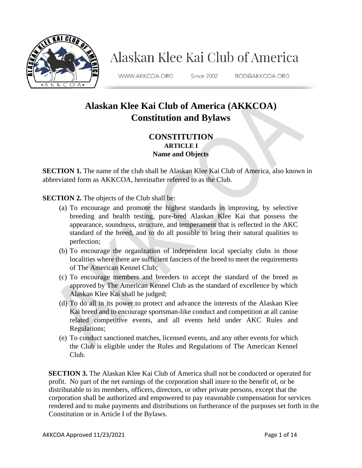

# Alaskan Klee Kai Club of America

WWW.AKKCOA.ORG

Since 2002

BOD@AKKCOA.ORG

## **Alaskan Klee Kai Club of America (AKKCOA) Constitution and Bylaws**

#### **CONSTITUTION ARTICLE I Name and Objects**

**SECTION 1.** The name of the club shall be Alaskan Klee Kai Club of America, also known in abbreviated form as AKKCOA, hereinafter referred to as the Club.

**SECTION 2.** The objects of the Club shall be:

- (a) To encourage and promote the highest standards in improving, by selective breeding and health testing, pure-bred Alaskan Klee Kai that possess the appearance, soundness, structure, and temperament that is reflected in the AKC standard of the breed, and to do all possible to bring their natural qualities to perfection;
- (b) To encourage the organization of independent local specialty clubs in those localities where there are sufficient fanciers of the breed to meet the requirements of The American Kennel Club;
- (c) To encourage members and breeders to accept the standard of the breed as approved by The American Kennel Club as the standard of excellence by which Alaskan Klee Kai shall be judged;
- (d) To do all in its power to protect and advance the interests of the Alaskan Klee Kai breed and to encourage sportsman-like conduct and competition at all canine related competitive events, and all events held under AKC Rules and Regulations;
- (e) To conduct sanctioned matches, licensed events, and any other events for which the Club is eligible under the Rules and Regulations of The American Kennel Club.

**SECTION 3.** The Alaskan Klee Kai Club of America shall not be conducted or operated for profit. No part of the net earnings of the corporation shall inure to the benefit of, or be distributable to its members, officers, directors, or other private persons, except that the corporation shall be authorized and empowered to pay reasonable compensation for services rendered and to make payments and distributions on furtherance of the purposes set forth in the Constitution or in Article I of the Bylaws.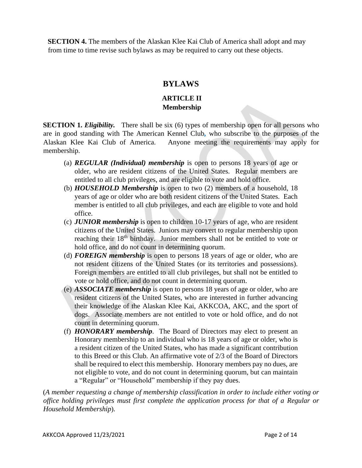**SECTION 4.** The members of the Alaskan Klee Kai Club of America shall adopt and may from time to time revise such bylaws as may be required to carry out these objects.

### **BYLAWS**

#### **ARTICLE II Membership**

**SECTION 1.** *Eligibility*. There shall be six (6) types of membership open for all persons who are in good standing with The American Kennel Club*,* who subscribe to the purposes of the Alaskan Klee Kai Club of America. Anyone meeting the requirements may apply for membership.

- (a) *REGULAR (Individual) membership* is open to persons 18 years of age or older, who are resident citizens of the United States. Regular members are entitled to all club privileges, and are eligible to vote and hold office.
- (b) *HOUSEHOLD Membership* is open to two (2) members of a household, 18 years of age or older who are both resident citizens of the United States. Each member is entitled to all club privileges, and each are eligible to vote and hold office.
- (c) *JUNIOR membership* is open to children 10-17 years of age, who are resident citizens of the United States. Juniors may convert to regular membership upon reaching their 18<sup>th</sup> birthday. Junior members shall not be entitled to vote or hold office, and do not count in determining quorum.
- (d) *FOREIGN membership* is open to persons 18 years of age or older, who are not resident citizens of the United States (or its territories and possessions). Foreign members are entitled to all club privileges, but shall not be entitled to vote or hold office, and do not count in determining quorum.
- (e) *ASSOCIATE membership* is open to persons 18 years of age or older, who are resident citizens of the United States, who are interested in further advancing their knowledge of the Alaskan Klee Kai, AKKCOA, AKC, and the sport of dogs.Associate members are not entitled to vote or hold office, and do not count in determining quorum.
- (f) *HONORARY membership.* The Board of Directors may elect to present an Honorary membership to an individual who is 18 years of age or older, who is a resident citizen of the United States, who has made a significant contribution to this Breed or this Club. An affirmative vote of 2/3 of the Board of Directors shall be required to elect this membership. Honorary members pay no dues, are not eligible to vote, and do not count in determining quorum, but can maintain a "Regular" or "Household" membership if they pay dues.

(*A member requesting a change of membership classification in order to include either voting or office holding privileges must first complete the application process for that of a Regular or Household Membership*).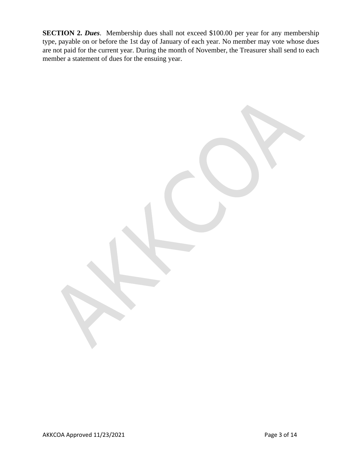**SECTION 2. Dues**. Membership dues shall not exceed \$100.00 per year for any membership type, payable on or before the 1st day of January of each year. No member may vote whose dues are not paid for the current year. During the month of November, the Treasurer shall send to each member a statement of dues for the ensuing year.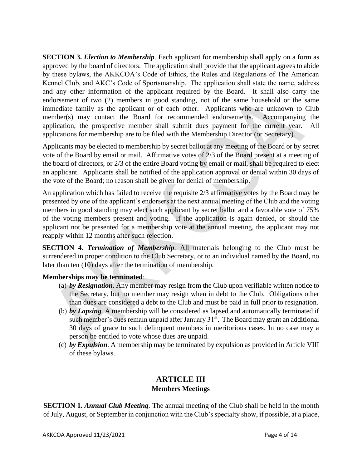**SECTION 3.** *Election to Membership*. Each applicant for membership shall apply on a form as approved by the board of directors. The application shall provide that the applicant agrees to abide by these bylaws, the AKKCOA's Code of Ethics, the Rules and Regulations of The American Kennel Club, and AKC's Code of Sportsmanship. The application shall state the name, address and any other information of the applicant required by the Board. It shall also carry the endorsement of two (2) members in good standing, not of the same household or the same immediate family as the applicant or of each other. Applicants who are unknown to Club member(s) may contact the Board for recommended endorsements. Accompanying the application, the prospective member shall submit dues payment for the current year. All applications for membership are to be filed with the Membership Director (or Secretary).

Applicants may be elected to membership by secret ballot at any meeting of the Board or by secret vote of the Board by email or mail. Affirmative votes of 2/3 of the Board present at a meeting of the board of directors, or 2/3 of the entire Board voting by email or mail, shall be required to elect an applicant. Applicants shall be notified of the application approval or denial within 30 days of the vote of the Board; no reason shall be given for denial of membership.

An application which has failed to receive the requisite 2/3 affirmative votes by the Board may be presented by one of the applicant's endorsers at the next annual meeting of the Club and the voting members in good standing may elect such applicant by secret ballot and a favorable vote of 75% of the voting members present and voting. If the application is again denied, or should the applicant not be presented for a membership vote at the annual meeting, the applicant may not reapply within 12 months after such rejection.

**SECTION 4.** *Termination of Membership*. All materials belonging to the Club must be surrendered in proper condition to the Club Secretary, or to an individual named by the Board, no later than ten (10) days after the termination of membership.

#### **Memberships may be terminated**:

- (a) *by Resignation.* Any member may resign from the Club upon verifiable written notice to the Secretary, but no member may resign when in debt to the Club. Obligations other than dues are considered a debt to the Club and must be paid in full prior to resignation.
- (b) *by Lapsing.* A membership will be considered as lapsed and automatically terminated if such member's dues remain unpaid after January  $31<sup>st</sup>$ . The Board may grant an additional 30 days of grace to such delinquent members in meritorious cases. In no case may a person be entitled to vote whose dues are unpaid.
- (c) *by Expulsion.* A membership may be terminated by expulsion as provided in Article VIII of these bylaws.

## **ARTICLE III Members Meetings**

**SECTION 1.** *Annual Club Meeting.* The annual meeting of the Club shall be held in the month of July, August, or September in conjunction with the Club's specialty show, if possible, at a place,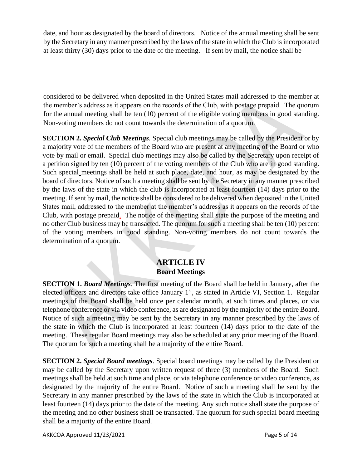date, and hour as designated by the board of directors. Notice of the annual meeting shall be sent by the Secretary in any manner prescribed by the laws of the state in which the Club is incorporated at least thirty (30) days prior to the date of the meeting. If sent by mail, the notice shall be

considered to be delivered when deposited in the United States mail addressed to the member at the member's address as it appears on the records of the Club, with postage prepaid. The quorum for the annual meeting shall be ten (10) percent of the eligible voting members in good standing. Non-voting members do not count towards the determination of a quorum.

**SECTION 2.** *Special Club Meetings.* Special club meetings may be called by the President or by a majority vote of the members of the Board who are present at any meeting of the Board or who vote by mail or email. Special club meetings may also be called by the Secretary upon receipt of a petition signed by ten (10) percent of the voting members of the Club who are in good standing. Such special meetings shall be held at such place, date, and hour, as may be designated by the board of directors*.* Notice of such a meeting shall be sent by the Secretary in any manner prescribed by the laws of the state in which the club is incorporated at least fourteen (14) days prior to the meeting. If sent by mail, the notice shall be considered to be delivered when deposited in the United States mail, addressed to the member at the member's address as it appears on the records of the Club, with postage prepaid*.* The notice of the meeting shall state the purpose of the meeting and no other Club business may be transacted. The quorum for such a meeting shall be ten (10) percent of the voting members in good standing. Non-voting members do not count towards the determination of a quorum.

### **ARTICLE IV Board Meetings**

**SECTION 1.** *Board Meetings*. The first meeting of the Board shall be held in January, after the elected officers and directors take office January 1<sup>st</sup>, as stated in Article VI, Section 1. Regular meetings of the Board shall be held once per calendar month, at such times and places, or via telephone conference or via video conference, as are designated by the majority of the entire Board. Notice of such a meeting may be sent by the Secretary in any manner prescribed by the laws of the state in which the Club is incorporated at least fourteen (14) days prior to the date of the meeting. These regular Board meetings may also be scheduled at any prior meeting of the Board. The quorum for such a meeting shall be a majority of the entire Board.

**SECTION 2.** *Special Board meetings*. Special board meetings may be called by the President or may be called by the Secretary upon written request of three (3) members of the Board. Such meetings shall be held at such time and place, or via telephone conference or video conference, as designated by the majority of the entire Board. Notice of such a meeting shall be sent by the Secretary in any manner prescribed by the laws of the state in which the Club is incorporated at least fourteen (14) days prior to the date of the meeting. Any such notice shall state the purpose of the meeting and no other business shall be transacted. The quorum for such special board meeting shall be a majority of the entire Board.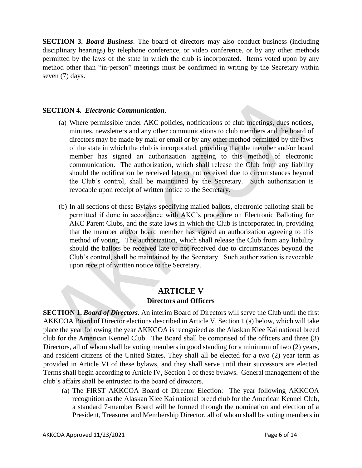**SECTION 3.** *Board Business*. The board of directors may also conduct business (including disciplinary hearings) by telephone conference, or video conference, or by any other methods permitted by the laws of the state in which the club is incorporated. Items voted upon by any method other than "in-person" meetings must be confirmed in writing by the Secretary within seven (7) days.

#### **SECTION 4.** *Electronic Communication*.

- (a) Where permissible under AKC policies, notifications of club meetings, dues notices, minutes, newsletters and any other communications to club members and the board of directors may be made by mail or email or by any other method permitted by the laws of the state in which the club is incorporated, providing that the member and/or board member has signed an authorization agreeing to this method of electronic communication. The authorization, which shall release the Club from any liability should the notification be received late or not received due to circumstances beyond the Club's control, shall be maintained by the Secretary. Such authorization is revocable upon receipt of written notice to the Secretary.
- (b) In all sections of these Bylaws specifying mailed ballots, electronic balloting shall be permitted if done in accordance with AKC's procedure on Electronic Balloting for AKC Parent Clubs, and the state laws in which the Club is incorporated in, providing that the member and/or board member has signed an authorization agreeing to this method of voting. The authorization, which shall release the Club from any liability should the ballots be received late or not received due to circumstances beyond the Club's control, shall be maintained by the Secretary. Such authorization is revocable upon receipt of written notice to the Secretary.

## **ARTICLE V Directors and Officers**

**SECTION 1.** *Board of Directors.* An interim Board of Directors will serve the Club until the first AKKCOA Board of Director elections described in Article V, Section 1 (a) below, which will take place the year following the year AKKCOA is recognized as the Alaskan Klee Kai national breed club for the American Kennel Club. The Board shall be comprised of the officers and three (3) Directors, all of whom shall be voting members in good standing for a minimum of two (2) years, and resident citizens of the United States. They shall all be elected for a two (2) year term as provided in Article VI of these bylaws, and they shall serve until their successors are elected. Terms shall begin according to Article IV, Section 1 of these bylaws. General management of the club's affairs shall be entrusted to the board of directors.

(a) The FIRST AKKCOA Board of Director Election: The year following AKKCOA recognition as the Alaskan Klee Kai national breed club for the American Kennel Club, a standard 7-member Board will be formed through the nomination and election of a President, Treasurer and Membership Director, all of whom shall be voting members in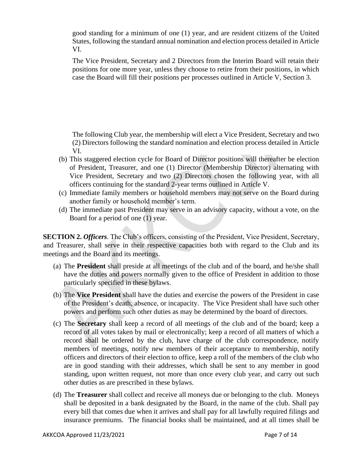good standing for a minimum of one (1) year, and are resident citizens of the United States, following the standard annual nomination and election process detailed in Article VI.

The Vice President, Secretary and 2 Directors from the Interim Board will retain their positions for one more year, unless they choose to retire from their positions, in which case the Board will fill their positions per processes outlined in Article V, Section 3.

The following Club year, the membership will elect a Vice President, Secretary and two (2) Directors following the standard nomination and election process detailed in Article VI.

- (b) This staggered election cycle for Board of Director positions will thereafter be election of President, Treasurer, and one (1) Director (Membership Director) alternating with Vice President, Secretary and two (2) Directors chosen the following year, with all officers continuing for the standard 2-year terms outlined in Article V.
- (c) Immediate family members or household members may not serve on the Board during another family or household member's term.
- (d) The immediate past President may serve in an advisory capacity, without a vote, on the Board for a period of one (1) year.

**SECTION 2.** *Officers.* The Club's officers, consisting of the President, Vice President, Secretary, and Treasurer, shall serve in their respective capacities both with regard to the Club and its meetings and the Board and its meetings.

- (a) The **President** shall preside at all meetings of the club and of the board, and he/she shall have the duties and powers normally given to the office of President in addition to those particularly specified in these bylaws.
- (b) The **Vice President** shall have the duties and exercise the powers of the President in case of the President's death, absence, or incapacity. The Vice President shall have such other powers and perform such other duties as may be determined by the board of directors.
- (c) The **Secretary** shall keep a record of all meetings of the club and of the board; keep a record of all votes taken by mail or electronically; keep a record of all matters of which a record shall be ordered by the club, have charge of the club correspondence, notify members of meetings, notify new members of their acceptance to membership, notify officers and directors of their election to office, keep a roll of the members of the club who are in good standing with their addresse*s*, which shall be sent to any member in good standing, upon written request, not more than once every club year, and carry out such other duties as are prescribed in these bylaws.
- (d) The **Treasurer** shall collect and receive all moneys due or belonging to the club. Moneys shall be deposited in a bank designated by the Board, in the name of the club. Shall pay every bill that comes due when it arrives and shall pay for all lawfully required filings and insurance premiums. The financial books shall be maintained, and at all times shall be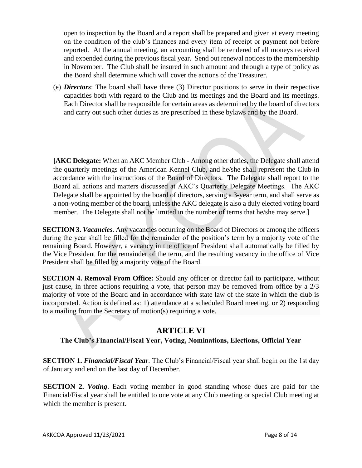open to inspection by the Board and a report shall be prepared and given at every meeting on the condition of the club's finances and every item of receipt or payment not before reported. At the annual meeting, an accounting shall be rendered of all moneys received and expended during the previous fiscal year. Send out renewal notices to the membership in November. The Club shall be insured in such amount and through a type of policy as the Board shall determine which will cover the actions of the Treasurer.

(e) *Directors*: The board shall have three (3) Director positions to serve in their respective capacities both with regard to the Club and its meetings and the Board and its meetings. Each Director shall be responsible for certain areas as determined by the board of directors and carry out such other duties as are prescribed in these bylaws and by the Board.

**[AKC Delegate:** When an AKC Member Club - Among other duties, the Delegate shall attend the quarterly meetings of the American Kennel Club, and he/she shall represent the Club in accordance with the instructions of the Board of Directors. The Delegate shall report to the Board all actions and matters discussed at AKC's Quarterly Delegate Meetings. The AKC Delegate shall be appointed by the board of directors, serving a 3-year term, and shall serve as a non-voting member of the board, unless the AKC delegate is also a duly elected voting board member. The Delegate shall not be limited in the number of terms that he/she may serve.]

**SECTION 3.** *Vacancies.* Any vacancies occurring on the Board of Directors or among the officers during the year shall be filled for the remainder of the position's term by a majority vote of the remaining Board. However, a vacancy in the office of President shall automatically be filled by the Vice President for the remainder of the term, and the resulting vacancy in the office of Vice President shall be filled by a majority vote of the Board.

**SECTION 4. Removal From Office:** Should any officer or director fail to participate, without just cause, in three actions requiring a vote, that person may be removed from office by a  $2/3$ majority of vote of the Board and in accordance with state law of the state in which the club is incorporated. Action is defined as: 1) attendance at a scheduled Board meeting, or 2) responding to a mailing from the Secretary of motion(s) requiring a vote.

## **ARTICLE VI**

#### **The Club's Financial/Fiscal Year, Voting, Nominations, Elections, Official Year**

**SECTION 1.** *Financial/Fiscal Year*. The Club's Financial/Fiscal year shall begin on the 1st day of January and end on the last day of December.

**SECTION 2.** *Voting*. Each voting member in good standing whose dues are paid for the Financial/Fiscal year shall be entitled to one vote at any Club meeting or special Club meeting at which the member is present.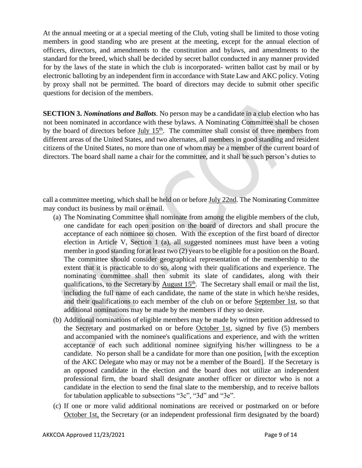At the annual meeting or at a special meeting of the Club, voting shall be limited to those voting members in good standing who are present at the meeting, except for the annual election of officers, directors, and amendments to the constitution and bylaws, and amendments to the standard for the breed, which shall be decided by secret ballot conducted in any manner provided for by the laws of the state in which the club is incorporated- written ballot cast by mail or by electronic balloting by an independent firm in accordance with State Law and AKC policy. Voting by proxy shall not be permitted. The board of directors may decide to submit other specific questions for decision of the members.

**SECTION 3.** *Nominations and Ballots.* No person may be a candidate in a club election who has not been nominated in accordance with these bylaws. A Nominating Committee shall be chosen by the board of directors before  $\underline{July 15<sup>th</sup>}.$  The committee shall consist of three members from different areas of the United States, and two alternates, all members in good standing and resident citizens of the United States, no more than one of whom may be a member of the current board of directors. The board shall name a chair for the committee, and it shall be such person's duties to

call a committee meeting, which shall be held on or before July 22nd. The Nominating Committee may conduct its business by mail or email.

- (a) The Nominating Committee shall nominate from among the eligible members of the club, one candidate for each open position on the board of directors and shall procure the acceptance of each nominee so chosen. With the exception of the first board of director election in Article V, Section 1 (a), all suggested nominees must have been a voting member in good standing for at least two (2) years to be eligible for a position on the Board. The committee should consider geographical representation of the membership to the extent that it is practicable to do so, along with their qualifications and experience. The nominating committee shall then submit its slate of candidates, along with their qualifications, to the Secretary by August  $15<sup>th</sup>$ . The Secretary shall email or mail the list, including the full name of each candidate, the name of the state in which he/she resides, and their qualifications to each member of the club on or before September 1st, so that additional nominations may be made by the members if they so desire.
- (b) Additional nominations of eligible members may be made by written petition addressed to the Secretary and postmarked on or before October 1st, signed by five (5) members and accompanied with the nominee's qualifications and experience, and with the written acceptance of each such additional nominee signifying his/her willingness to be a candidate. No person shall be a candidate for more than one position, [with the exception of the AKC Delegate who may or may not be a member of the Board]. If the Secretary is an opposed candidate in the election and the board does not utilize an independent professional firm, the board shall designate another officer or director who is not a candidate in the election to send the final slate to the membership, and to receive ballots for tabulation applicable to subsections "3c", "3d" and "3e".
- (c) If one or more valid additional nominations are received or postmarked on or before October 1st, the Secretary (or an independent professional firm designated by the board)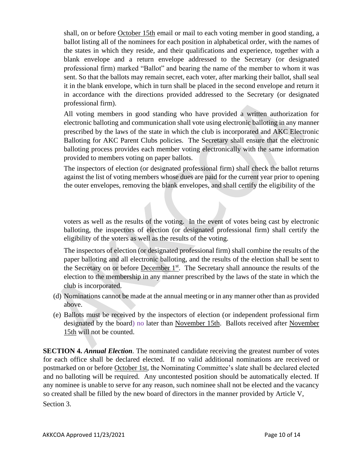shall, on or before October 15th email or mail to each voting member in good standing, a ballot listing all of the nominees for each position in alphabetical order, with the names of the states in which they reside, and their qualifications and experience, together with a blank envelope and a return envelope addressed to the Secretary (or designated professional firm) marked "Ballot" and bearing the name of the member to whom it was sent. So that the ballots may remain secret, each voter, after marking their ballot, shall seal it in the blank envelope, which in turn shall be placed in the second envelope and return it in accordance with the directions provided addressed to the Secretary (or designated professional firm).

All voting members in good standing who have provided a written authorization for electronic balloting and communication shall vote using electronic balloting in any manner prescribed by the laws of the state in which the club is incorporated and AKC Electronic Balloting for AKC Parent Clubs policies. The Secretary shall ensure that the electronic balloting process provides each member voting electronically with the same information provided to members voting on paper ballots.

The inspectors of election (or designated professional firm) shall check the ballot returns against the list of voting members whose dues are paid for the current year prior to opening the outer envelopes, removing the blank envelopes, and shall certify the eligibility of the

voters as well as the results of the voting. In the event of votes being cast by electronic balloting, the inspectors of election (or designated professional firm) shall certify the eligibility of the voters as well as the results of the voting.

The inspectors of election (or designated professional firm) shall combine the results of the paper balloting and all electronic balloting, and the results of the election shall be sent to the Secretary on or before December 1<sup>st</sup>. The Secretary shall announce the results of the election to the membership in any manner prescribed by the laws of the state in which the club is incorporated.

- (d) Nominations cannot be made at the annual meeting or in any manner other than as provided above.
- (e) Ballots must be received by the inspectors of election (or independent professional firm designated by the board) no later than November 15th. Ballots received after November 15th will not be counted.

**SECTION 4. Annual Election**. The nominated candidate receiving the greatest number of votes for each office shall be declared elected. If no valid additional nominations are received or postmarked on or before October 1st, the Nominating Committee's slate shall be declared elected and no balloting will be required. Any uncontested position should be automatically elected. If any nominee is unable to serve for any reason, such nominee shall not be elected and the vacancy so created shall be filled by the new board of directors in the manner provided by Article V, Section 3.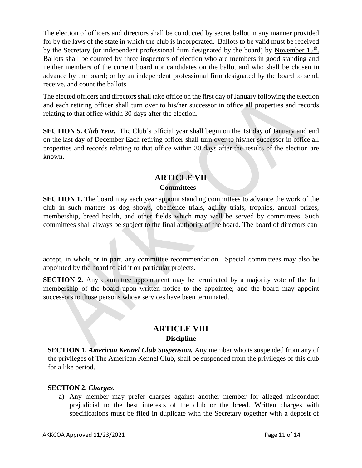The election of officers and directors shall be conducted by secret ballot in any manner provided for by the laws of the state in which the club is incorporated. Ballots to be valid must be received by the Secretary (or independent professional firm designated by the board) by November 15<sup>th</sup>. Ballots shall be counted by three inspectors of election who are members in good standing and neither members of the current board nor candidates on the ballot and who shall be chosen in advance by the board; or by an independent professional firm designated by the board to send, receive, and count the ballots.

The elected officers and directors shall take office on the first day of January following the election and each retiring officer shall turn over to his/her successor in office all properties and records relating to that office within 30 days after the election.

**SECTION 5.** *Club Year.* The Club's official year shall begin on the 1st day of January and end on the last day of December Each retiring officer shall turn over to his/her successor in office all properties and records relating to that office within 30 days after the results of the election are known.

## **ARTICLE VII Committees**

**SECTION 1.** The board may each year appoint standing committees to advance the work of the club in such matters as dog shows, obedience trials, agility trials, trophies, annual prizes, membership, breed health, and other fields which may well be served by committees. Such committees shall always be subject to the final authority of the board. The board of directors can

accept, in whole or in part, any committee recommendation. Special committees may also be appointed by the board to aid it on particular projects.

**SECTION 2.** Any committee appointment may be terminated by a majority vote of the full membership of the board upon written notice to the appointee; and the board may appoint successors to those persons whose services have been terminated.

## **ARTICLE VIII**

#### **Discipline**

**SECTION 1.** *American Kennel Club Suspension*. Any member who is suspended from any of the privileges of The American Kennel Club, shall be suspended from the privileges of this club for a like period.

#### **SECTION 2.** *Charges.*

a) Any member may prefer charges against another member for alleged misconduct prejudicial to the best interests of the club or the breed. Written charges with specifications must be filed in duplicate with the Secretary together with a deposit of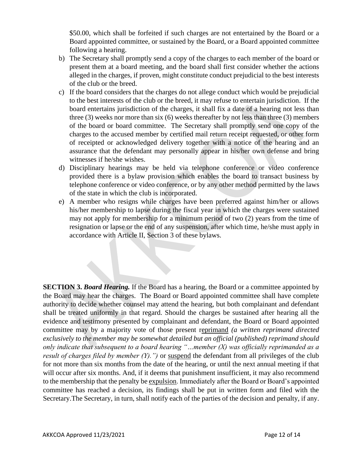\$50.00, which shall be forfeited if such charges are not entertained by the Board or a Board appointed committee, or sustained by the Board, or a Board appointed committee following a hearing.

- b) The Secretary shall promptly send a copy of the charges to each member of the board or present them at a board meeting, and the board shall first consider whether the actions alleged in the charges, if proven, might constitute conduct prejudicial to the best interests of the club or the breed.
- c) If the board considers that the charges do not allege conduct which would be prejudicial to the best interests of the club or the breed, it may refuse to entertain jurisdiction.If the board entertains jurisdiction of the charges, it shall fix a date of a hearing not less than three (3) weeks nor more than six (6) weeks thereafter by not less than three (3) members of the board or board committee. The Secretary shall promptly send one copy of the charges to the accused member by certified mail return receipt requested, or other form of receipted or acknowledged delivery together with a notice of the hearing and an assurance that the defendant may personally appear in his/her own defense and bring witnesses if he/she wishes.
- d) Disciplinary hearings may be held via telephone conference or video conference provided there is a bylaw provision which enables the board to transact business by telephone conference or video conference, or by any other method permitted by the laws of the state in which the club is incorporated.
- e) A member who resigns while charges have been preferred against him/her or allows his/her membership to lapse during the fiscal year in which the charges were sustained may not apply for membership for a minimum period of two (2) years from the time of resignation or lapse or the end of any suspension, after which time, he/she must apply in accordance with Article II, Section 3 of these bylaws.

**SECTION 3.** *Board Hearing*. If the Board has a hearing, the Board or a committee appointed by the Board may hear the charges.The Board or Board appointed committee shall have complete authority to decide whether counsel may attend the hearing, but both complainant and defendant shall be treated uniformly in that regard. Should the charges be sustained after hearing all the evidence and testimony presented by complainant and defendant, the Board or Board appointed committee may by a majority vote of those present reprimand *(a written reprimand directed exclusively to the member may be somewhat detailed but an official (published) reprimand should only indicate that subsequent to a board hearing "…member (X) was officially reprimanded as a result of charges filed by member (Y).")* or suspend the defendant from all privileges of the club for not more than six months from the date of the hearing, or until the next annual meeting if that will occur after six months. And, if it deems that punishment insufficient, it may also recommend to the membership that the penalty be expulsion. Immediately after the Board or Board's appointed committee has reached a decision, its findings shall be put in written form and filed with the Secretary.The Secretary, in turn, shall notify each of the parties of the decision and penalty, if any.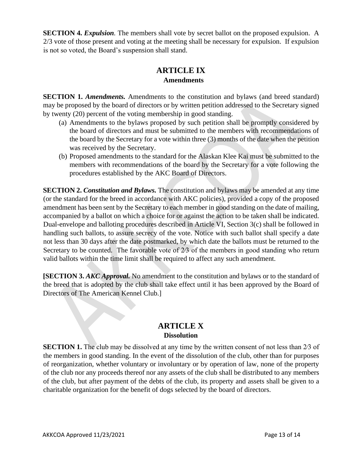**SECTION 4.** *Expulsion*. The members shall vote by secret ballot on the proposed expulsion. A 2/3 vote of those present and voting at the meeting shall be necessary for expulsion. If expulsion is not so voted, the Board's suspension shall stand.

## **ARTICLE IX Amendments**

**SECTION 1.** *Amendments*. Amendments to the constitution and bylaws (and breed standard) may be proposed by the board of directors or by written petition addressed to the Secretary signed by twenty (20) percent of the voting membership in good standing.

- (a) Amendments to the bylaws proposed by such petition shall be promptly considered by the board of directors and must be submitted to the members with recommendations of the board by the Secretary for a vote within three (3) months of the date when the petition was received by the Secretary.
- (b) Proposed amendments to the standard for the Alaskan Klee Kai must be submitted to the members with recommendations of the board by the Secretary for a vote following the procedures established by the AKC Board of Directors.

**SECTION 2.** *Constitution and Bylaws*. The constitution and bylaws may be amended at any time (or the standard for the breed in accordance with AKC policies), provided a copy of the proposed amendment has been sent by the Secretary to each member in good standing on the date of mailing, accompanied by a ballot on which a choice for or against the action to be taken shall be indicated. Dual-envelope and balloting procedures described in Article VI, Section 3(c) shall be followed in handling such ballots, to assure secrecy of the vote. Notice with such ballot shall specify a date not less than 30 days after the date postmarked, by which date the ballots must be returned to the Secretary to be counted. The favorable vote of 2/3 of the members in good standing who return valid ballots within the time limit shall be required to affect any such amendment.

**[SECTION 3.** *AKC Approval.* No amendment to the constitution and bylaws or to the standard of the breed that is adopted by the club shall take effect until it has been approved by the Board of Directors of The American Kennel Club.]

## **ARTICLE X Dissolution**

**SECTION 1.** The club may be dissolved at any time by the written consent of not less than 2⁄3 of the members in good standing. In the event of the dissolution of the club, other than for purposes of reorganization, whether voluntary or involuntary or by operation of law, none of the property of the club nor any proceeds thereof nor any assets of the club shall be distributed to any members of the club, but after payment of the debts of the club, its property and assets shall be given to a charitable organization for the benefit of dogs selected by the board of directors.